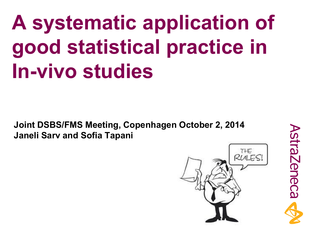# **A systematic application of good statistical practice in In-vivo studies**

**Joint DSBS/FMS Meeting, Copenhagen October 2, 2014 Janeli Sarv and Sofia Tapani** 



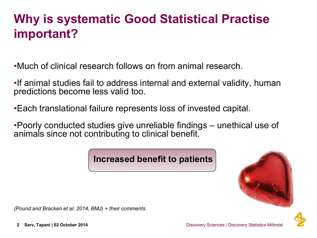# **Why is systematic Good Statistical Practise important?**

•Much of clinical research follows on from animal research.

•If animal studies fail to address internal and external validity, human predictions become less valid too.

•Each translational failure represents loss of invested capital.

•Poorly conducted studies give unreliable findings – unethical use of animals since not contributing to clinical benefit.

**Increased benefit to patients**



*(Pound and Bracken et al. 2014, BMJ) + their comments*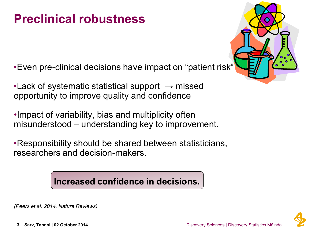### **Preclinical robustness**

•Even pre-clinical decisions have impact on "patient risk"

•Lack of systematic statistical support **→** missed opportunity to improve quality and confidence

•Impact of variability, bias and multiplicity often misunderstood – understanding key to improvement.

•Responsibility should be shared between statisticians, researchers and decision-makers.

**Increased confidence in decisions.** 

*(Peers et al. 2014, Nature Reviews)*

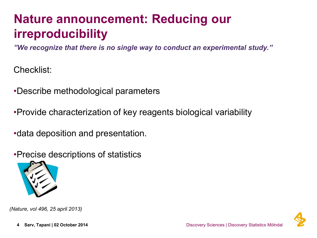# **Nature announcement: Reducing our irreproducibility**

*"We recognize that there is no single way to conduct an experimental study."*

Checklist:

•Describe methodological parameters

•Provide characterization of key reagents biological variability

•data deposition and presentation.

•Precise descriptions of statistics



*(Nature, vol 496, 25 april 2013)*

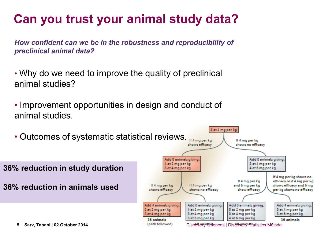# **Can you trust your animal study data?**

*How confident can we be in the robustness and reproducibility of preclinical animal data?*

- Why do we need to improve the quality of preclinical animal studies?
- Improvement opportunities in design and conduct of animal studies.

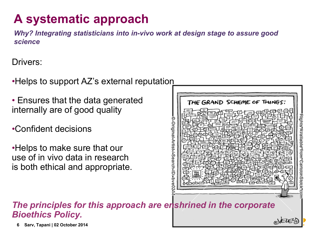# **A systematic approach**

*Why? Integrating statisticians into in-vivo work at design stage to assure good science*

Drivers:

•Helps to support AZ's external reputation

- Ensures that the data generated internally are of good quality
- •Confident decisions

•Helps to make sure that our use of in vivo data in research is both ethical and appropriate.



#### *The principles for this approach are enshrined in the corporate Bioethics Policy.*

**6** Sarv, Tapani | 02 October 2014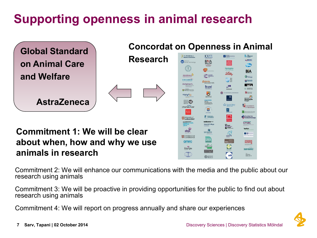# **Supporting openness in animal research**



#### **about when, how and why we use animals in research**

amrc LEUKAEMIA<br>& LYMPHOMA<br>RESEARCH Pirbright Understanding  $\bigoplus$ G **ROYAL**<br>SOCIETY BATH

Commitment 2: We will enhance our communications with the media and the public about our research using animals

Commitment 3: We will be proactive in providing opportunities for the public to find out about research using animals

Commitment 4: We will report on progress annually and share our experiences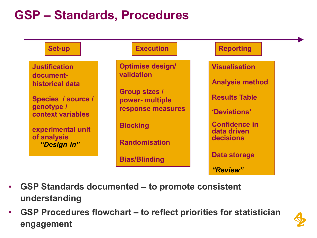### **GSP – Standards, Procedures**



- **GSP Standards documented – to promote consistent understanding**
- **GSP Procedures flowchart – to reflect priorities for statistician engagement**

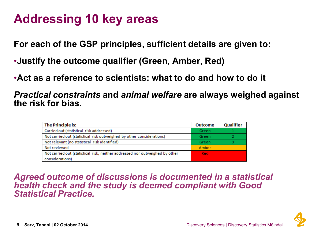#### **Addressing 10 key areas**

**For each of the GSP principles, sufficient details are given to:**

- •**Justify the outcome qualifier (Green, Amber, Red)**
- •**Act as a reference to scientists: what to do and how to do it**

*Practical constraints* **and** *animal welfare* **are always weighed against the risk for bias.**

| <b>The Principle is:</b>                                                     | <b>Outcome</b> | Qualifier |
|------------------------------------------------------------------------------|----------------|-----------|
| Carried out (statistical risk addressed)                                     | Green          |           |
| Not carried out (statistical risk outweighed by other considerations)        | Green          |           |
| Not relevant (no statistical risk identified)                                | Green          |           |
| Not reviewed                                                                 | Amber          |           |
| Not carried out (statistical risk, neither addressed nor outweighed by other | Red            |           |
| considerations)                                                              |                |           |

*Agreed outcome of discussions is documented in a statistical health check and the study is deemed compliant with Good Statistical Practice.*

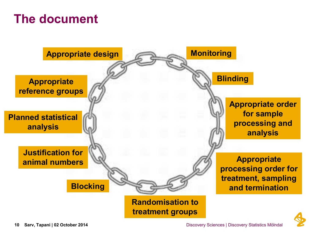### **The document**



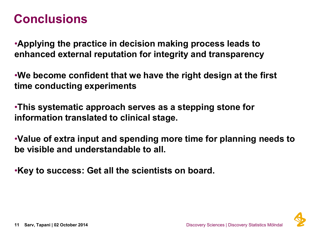#### **Conclusions**

•**Applying the practice in decision making process leads to enhanced external reputation for integrity and transparency**

•**We become confident that we have the right design at the first time conducting experiments**

•**This systematic approach serves as a stepping stone for information translated to clinical stage.**

•**Value of extra input and spending more time for planning needs to be visible and understandable to all.**

•**Key to success: Get all the scientists on board.**